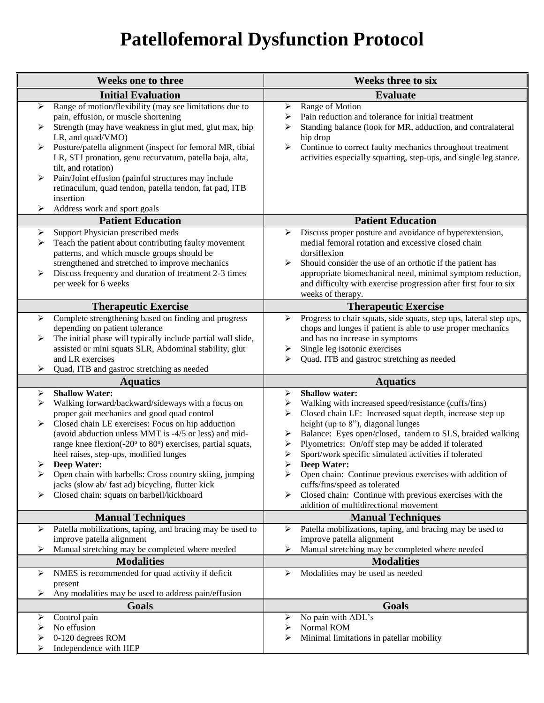## **Patellofemoral Dysfunction Protocol**

| <b>Weeks one to three</b>                                                                                                                                                                                                                                                                                                                                                                                                                                                                                                                                                           | <b>Weeks three to six</b>                                                                                                                                                                                                                                                                                                                                                                                                                                                                                                                                                                                             |
|-------------------------------------------------------------------------------------------------------------------------------------------------------------------------------------------------------------------------------------------------------------------------------------------------------------------------------------------------------------------------------------------------------------------------------------------------------------------------------------------------------------------------------------------------------------------------------------|-----------------------------------------------------------------------------------------------------------------------------------------------------------------------------------------------------------------------------------------------------------------------------------------------------------------------------------------------------------------------------------------------------------------------------------------------------------------------------------------------------------------------------------------------------------------------------------------------------------------------|
| <b>Initial Evaluation</b>                                                                                                                                                                                                                                                                                                                                                                                                                                                                                                                                                           | <b>Evaluate</b>                                                                                                                                                                                                                                                                                                                                                                                                                                                                                                                                                                                                       |
| Range of motion/flexibility (may see limitations due to<br>$\blacktriangleright$<br>pain, effusion, or muscle shortening<br>Strength (may have weakness in glut med, glut max, hip<br>≻<br>LR, and quad/VMO)<br>Posture/patella alignment (inspect for femoral MR, tibial<br>≻<br>LR, STJ pronation, genu recurvatum, patella baja, alta,<br>tilt, and rotation)<br>Pain/Joint effusion (painful structures may include<br>≻<br>retinaculum, quad tendon, patella tendon, fat pad, ITB<br>insertion<br>⋗                                                                            | Range of Motion<br>➤<br>⋗<br>Pain reduction and tolerance for initial treatment<br>Standing balance (look for MR, adduction, and contralateral<br>➤<br>hip drop<br>$\blacktriangleright$<br>Continue to correct faulty mechanics throughout treatment<br>activities especially squatting, step-ups, and single leg stance.                                                                                                                                                                                                                                                                                            |
| Address work and sport goals<br><b>Patient Education</b>                                                                                                                                                                                                                                                                                                                                                                                                                                                                                                                            | <b>Patient Education</b>                                                                                                                                                                                                                                                                                                                                                                                                                                                                                                                                                                                              |
| Support Physician prescribed meds<br>➤<br>Teach the patient about contributing faulty movement<br>➤<br>patterns, and which muscle groups should be<br>strengthened and stretched to improve mechanics<br>Discuss frequency and duration of treatment 2-3 times<br>➤<br>per week for 6 weeks                                                                                                                                                                                                                                                                                         | Discuss proper posture and avoidance of hyperextension,<br>➤<br>medial femoral rotation and excessive closed chain<br>dorsiflexion<br>Should consider the use of an orthotic if the patient has<br>≻<br>appropriate biomechanical need, minimal symptom reduction,<br>and difficulty with exercise progression after first four to six<br>weeks of therapy.                                                                                                                                                                                                                                                           |
| <b>Therapeutic Exercise</b>                                                                                                                                                                                                                                                                                                                                                                                                                                                                                                                                                         | <b>Therapeutic Exercise</b>                                                                                                                                                                                                                                                                                                                                                                                                                                                                                                                                                                                           |
| Complete strengthening based on finding and progress<br>$\blacktriangleright$<br>depending on patient tolerance<br>The initial phase will typically include partial wall slide,<br>≻<br>assisted or mini squats SLR, Abdominal stability, glut<br>and LR exercises<br>Quad, ITB and gastroc stretching as needed<br>⋗                                                                                                                                                                                                                                                               | Progress to chair squats, side squats, step ups, lateral step ups,<br>➤<br>chops and lunges if patient is able to use proper mechanics<br>and has no increase in symptoms<br>Single leg isotonic exercises<br>➤<br>Quad, ITB and gastroc stretching as needed<br>⋗                                                                                                                                                                                                                                                                                                                                                    |
| <b>Aquatics</b>                                                                                                                                                                                                                                                                                                                                                                                                                                                                                                                                                                     | <b>Aquatics</b>                                                                                                                                                                                                                                                                                                                                                                                                                                                                                                                                                                                                       |
| <b>Shallow Water:</b><br>➤<br>Walking forward/backward/sideways with a focus on<br>➤<br>proper gait mechanics and good quad control<br>Closed chain LE exercises: Focus on hip adduction<br>$\blacktriangleright$<br>(avoid abduction unless MMT is -4/5 or less) and mid-<br>range knee flexion(-20° to 80°) exercises, partial squats,<br>heel raises, step-ups, modified lunges<br><b>Deep Water:</b><br>➤<br>Open chain with barbells: Cross country skiing, jumping<br>➤<br>jacks (slow ab/ fast ad) bicycling, flutter kick<br>Closed chain: squats on barbell/kickboard<br>⋗ | <b>Shallow water:</b><br>➤<br>Walking with increased speed/resistance (cuffs/fins)<br>➤<br>Closed chain LE: Increased squat depth, increase step up<br>➤<br>height (up to 8"), diagonal lunges<br>Balance: Eyes open/closed, tandem to SLS, braided walking<br>➤<br>Plyometrics: On/off step may be added if tolerated<br>➤<br>Sport/work specific simulated activities if tolerated<br><b>Deep Water:</b><br>➤<br>Open chain: Continue previous exercises with addition of<br>cuffs/fins/speed as tolerated<br>Closed chain: Continue with previous exercises with the<br>≻<br>addition of multidirectional movement |
| <b>Manual Techniques</b>                                                                                                                                                                                                                                                                                                                                                                                                                                                                                                                                                            | <b>Manual Techniques</b>                                                                                                                                                                                                                                                                                                                                                                                                                                                                                                                                                                                              |
| Patella mobilizations, taping, and bracing may be used to<br>➤<br>improve patella alignment<br>Manual stretching may be completed where needed<br>⋗<br><b>Modalities</b>                                                                                                                                                                                                                                                                                                                                                                                                            | Patella mobilizations, taping, and bracing may be used to<br>➤<br>improve patella alignment<br>Manual stretching may be completed where needed<br><b>Modalities</b>                                                                                                                                                                                                                                                                                                                                                                                                                                                   |
| NMES is recommended for quad activity if deficit<br>➤                                                                                                                                                                                                                                                                                                                                                                                                                                                                                                                               | Modalities may be used as needed<br>➤                                                                                                                                                                                                                                                                                                                                                                                                                                                                                                                                                                                 |
| present<br>Any modalities may be used to address pain/effusion<br>➤                                                                                                                                                                                                                                                                                                                                                                                                                                                                                                                 |                                                                                                                                                                                                                                                                                                                                                                                                                                                                                                                                                                                                                       |
| <b>Goals</b>                                                                                                                                                                                                                                                                                                                                                                                                                                                                                                                                                                        | Goals                                                                                                                                                                                                                                                                                                                                                                                                                                                                                                                                                                                                                 |
| Control pain<br>➤<br>No effusion<br>➤<br>0-120 degrees ROM<br>⋗<br>Independence with HEP<br>⋗                                                                                                                                                                                                                                                                                                                                                                                                                                                                                       | No pain with ADL's<br>➤<br>Normal ROM<br>➤<br>Minimal limitations in patellar mobility<br>➤                                                                                                                                                                                                                                                                                                                                                                                                                                                                                                                           |